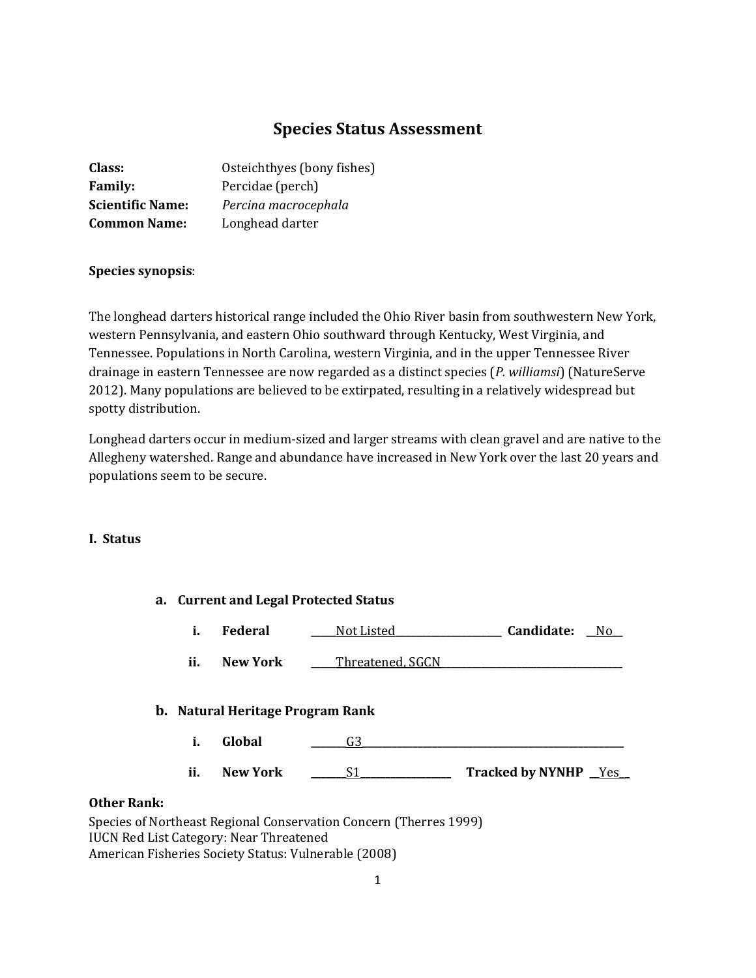# **Species Status Assessment**

| Class:                  | Osteichthyes (bony fishes) |
|-------------------------|----------------------------|
| <b>Family:</b>          | Percidae (perch)           |
| <b>Scientific Name:</b> | Percina macrocephala       |
| <b>Common Name:</b>     | Longhead darter            |

## **Species synopsis**:

The longhead darters historical range included the Ohio River basin from southwestern New York, western Pennsylvania, and eastern Ohio southward through Kentucky, West Virginia, and Tennessee. Populations in North Carolina, western Virginia, and in the upper Tennessee River drainage in eastern Tennessee are now regarded as a distinct species (*P. williamsi*) (NatureServe 2012). Many populations are believed to be extirpated, resulting in a relatively widespread but spotty distribution.

Longhead darters occur in medium-sized and larger streams with clean gravel and are native to the Allegheny watershed. Range and abundance have increased in New York over the last 20 years and populations seem to be secure.

## **I. Status**

|    |     | a. Current and Legal Protected Status                           |                      |                             |  |
|----|-----|-----------------------------------------------------------------|----------------------|-----------------------------|--|
|    | i.  | Federal                                                         | Not Listed           | Candidate: No               |  |
|    | ii. | <b>New York</b>                                                 | _Threatened, SGCN_   |                             |  |
|    |     | <b>b.</b> Natural Heritage Program Rank                         |                      |                             |  |
|    | i.  | Global                                                          | G3.                  |                             |  |
|    | ii. | <b>New York</b>                                                 | S1                   | <b>Tracked by NYNHP</b> Yes |  |
| k: |     | $\mathbf{r}$ and $\mathbf{r}$ and $\mathbf{r}$ and $\mathbf{r}$ | $\sim$ $\sim$ $\sim$ |                             |  |

## **Other Rank**

Species of Northeast Regional Conservation Concern (Therres 1999) IUCN Red List Category: Near Threatened American Fisheries Society Status: Vulnerable (2008)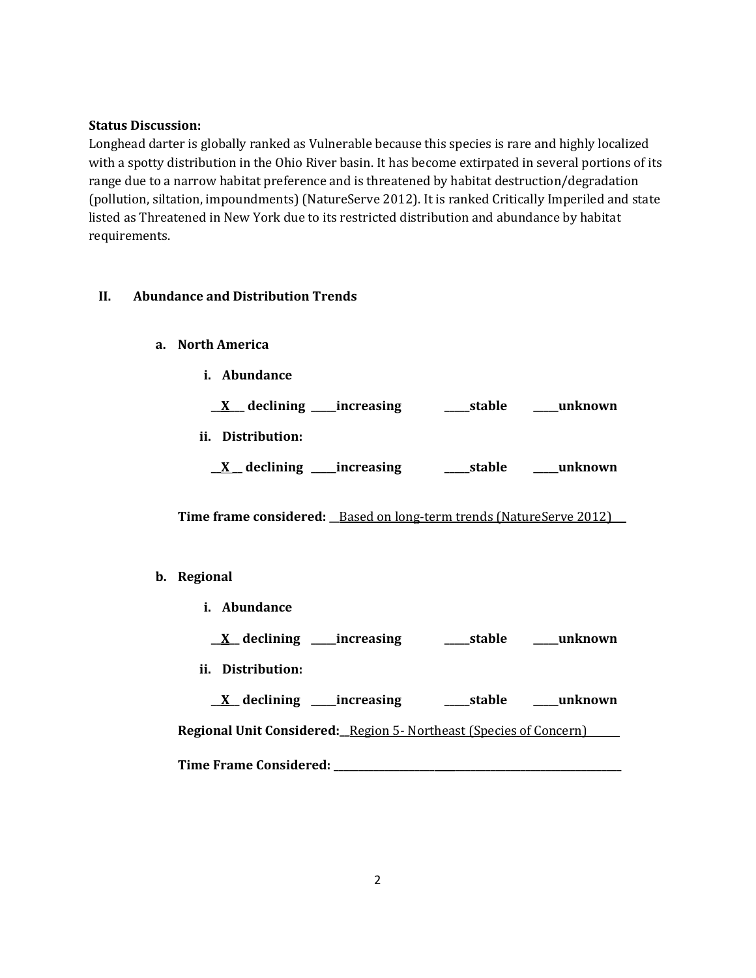## **Status Discussion:**

Longhead darter is globally ranked as Vulnerable because this species is rare and highly localized with a spotty distribution in the Ohio River basin. It has become extirpated in several portions of its range due to a narrow habitat preference and is threatened by habitat destruction/degradation (pollution, siltation, impoundments) (NatureServe 2012). It is ranked Critically Imperiled and state listed as Threatened in New York due to its restricted distribution and abundance by habitat requirements.

## **II. Abundance and Distribution Trends**

- **a. North America**
	- **i. Abundance**

| $\underline{X}$ declining _____ increasing | _____stable | unknown |
|--------------------------------------------|-------------|---------|
| ii. Distribution:                          |             |         |

|  | $\underline{X}$ declining | __increasing | _stable | unknown |
|--|---------------------------|--------------|---------|---------|
|--|---------------------------|--------------|---------|---------|

**Time frame considered: \_\_**Based on long-term trends (NatureServe 2012) **\_**

## **b. Regional**

- **i. Abundance**
	- **\_\_X\_\_ declining \_\_\_\_\_increasing \_\_\_\_\_stable \_\_\_\_\_unknown**
- **ii. Distribution:**

**\_\_X\_\_ declining \_\_\_\_\_increasing \_\_\_\_\_stable \_\_\_\_\_unknown Regional Unit Considered:\_\_**Region 5- Northeast (Species of Concern) **Time Frame Considered: \_\_\_\_\_\_\_\_\_\_\_\_\_\_\_\_\_\_\_\_ \_\_\_\_\_\_\_\_\_\_\_\_\_\_\_\_\_\_\_\_\_\_\_\_\_\_\_\_\_\_\_\_\_**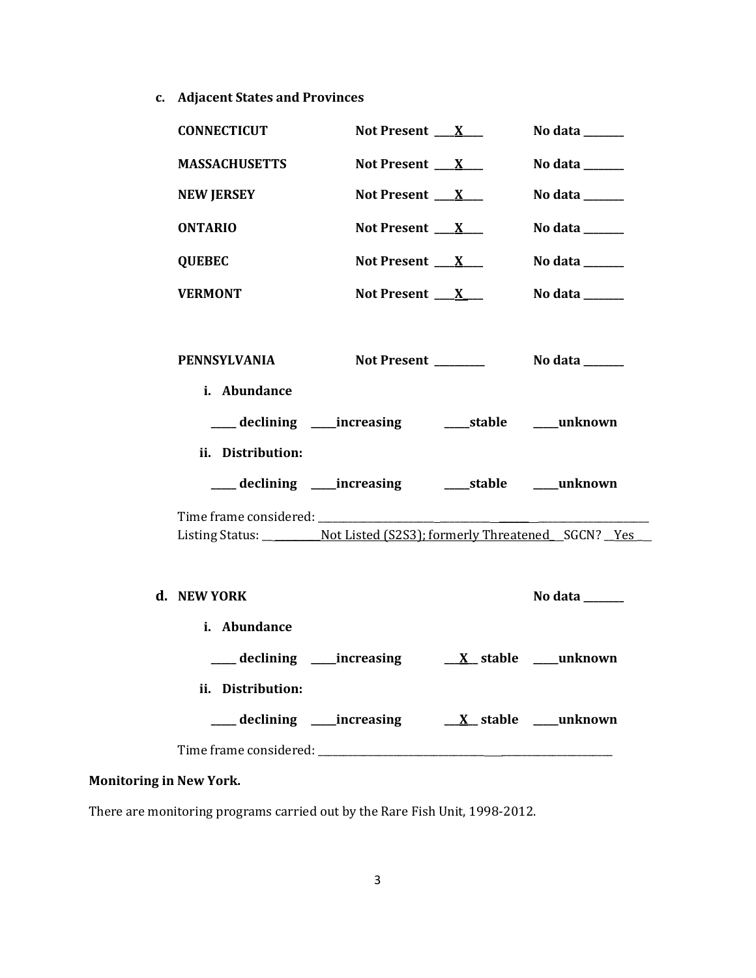**c. Adjacent States and Provinces**

| <b>CONNECTICUT</b>                                                                | Not Present $X_{-}$      | No data ______                      |
|-----------------------------------------------------------------------------------|--------------------------|-------------------------------------|
| <b>MASSACHUSETTS</b>                                                              | Not Present $X_{-}$      | No data $\_\_$                      |
| <b>NEW JERSEY</b>                                                                 | Not Present $X_{-}$      | No data ______                      |
| <b>ONTARIO</b>                                                                    | Not Present $\mathbf{X}$ | No data $\_\_\_\_\_\_\_\_\_\_\_\_\$ |
| <b>QUEBEC</b>                                                                     | Not Present $X_{-}$      | No data ______                      |
| <b>VERMONT</b>                                                                    | Not Present $X$          | No data ______                      |
|                                                                                   |                          |                                     |
| PENNSYLVANIA                                                                      |                          |                                     |
| i. Abundance                                                                      |                          |                                     |
|                                                                                   |                          |                                     |
| ii. Distribution:                                                                 |                          |                                     |
| ___ declining ____increasing ______stable ____unknown                             |                          |                                     |
|                                                                                   |                          |                                     |
|                                                                                   |                          |                                     |
| Listing Status: ____________ Not Listed (S2S3); formerly Threatened __SGCN? __Yes |                          |                                     |
|                                                                                   |                          |                                     |
| d. NEW YORK                                                                       |                          | No data ______                      |
| i. Abundance                                                                      |                          |                                     |
|                                                                                   |                          |                                     |
| ii. Distribution:                                                                 |                          |                                     |
| ___ declining ____increasing ____ <u>X</u> _stable ___unknown                     |                          |                                     |

# **Monitoring in New York.**

There are monitoring programs carried out by the Rare Fish Unit, 1998-2012.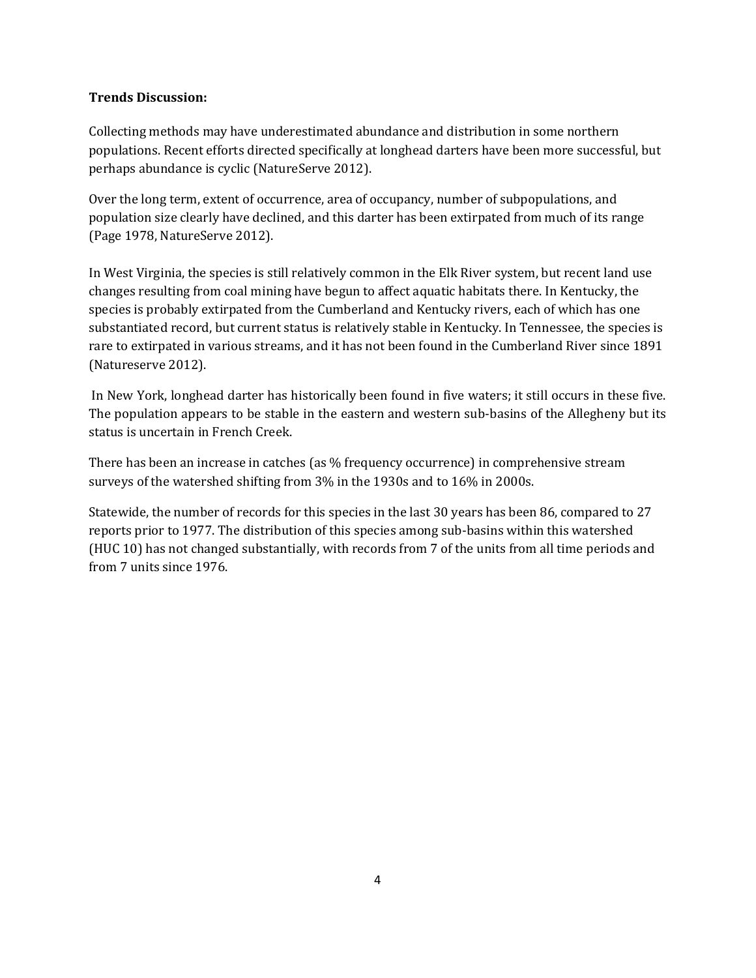## **Trends Discussion:**

Collecting methods may have underestimated abundance and distribution in some northern populations. Recent efforts directed specifically at longhead darters have been more successful, but perhaps abundance is cyclic (NatureServe 2012).

Over the long term, extent of occurrence, area of occupancy, number of subpopulations, and population size clearly have declined, and this darter has been extirpated from much of its range (Page 1978, NatureServe 2012).

In West Virginia, the species is still relatively common in the Elk River system, but recent land use changes resulting from coal mining have begun to affect aquatic habitats there. In Kentucky, the species is probably extirpated from the Cumberland and Kentucky rivers, each of which has one substantiated record, but current status is relatively stable in Kentucky. In Tennessee, the species is rare to extirpated in various streams, and it has not been found in the Cumberland River since 1891 (Natureserve 2012).

In New York, longhead darter has historically been found in five waters; it still occurs in these five. The population appears to be stable in the eastern and western sub-basins of the Allegheny but its status is uncertain in French Creek.

There has been an increase in catches (as % frequency occurrence) in comprehensive stream surveys of the watershed shifting from 3% in the 1930s and to 16% in 2000s.

Statewide, the number of records for this species in the last 30 years has been 86, compared to 27 reports prior to 1977. The distribution of this species among sub-basins within this watershed (HUC 10) has not changed substantially, with records from 7 of the units from all time periods and from 7 units since 1976.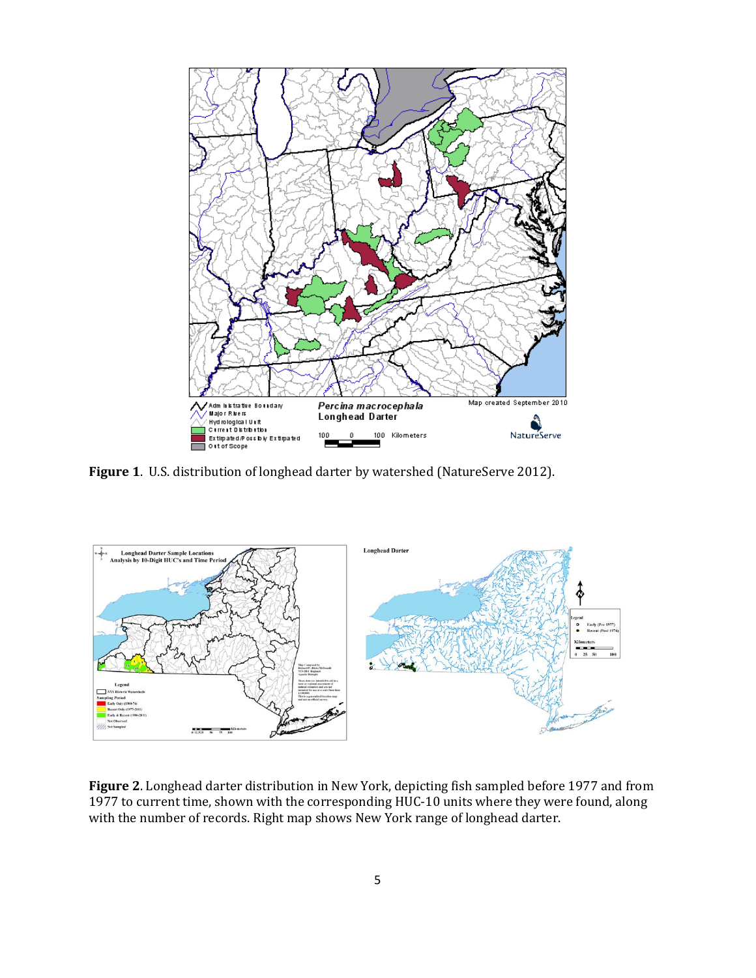

Figure 1. U.S. distribution of longhead darter by watershed (NatureServe 2012).



**Figure 2**. Longhead darter distribution in New York, depicting fish sampled before 1977 and from 1977 to current time, shown with the corresponding HUC-10 units where they were found, along with the number of records. Right map shows New York range of longhead darter.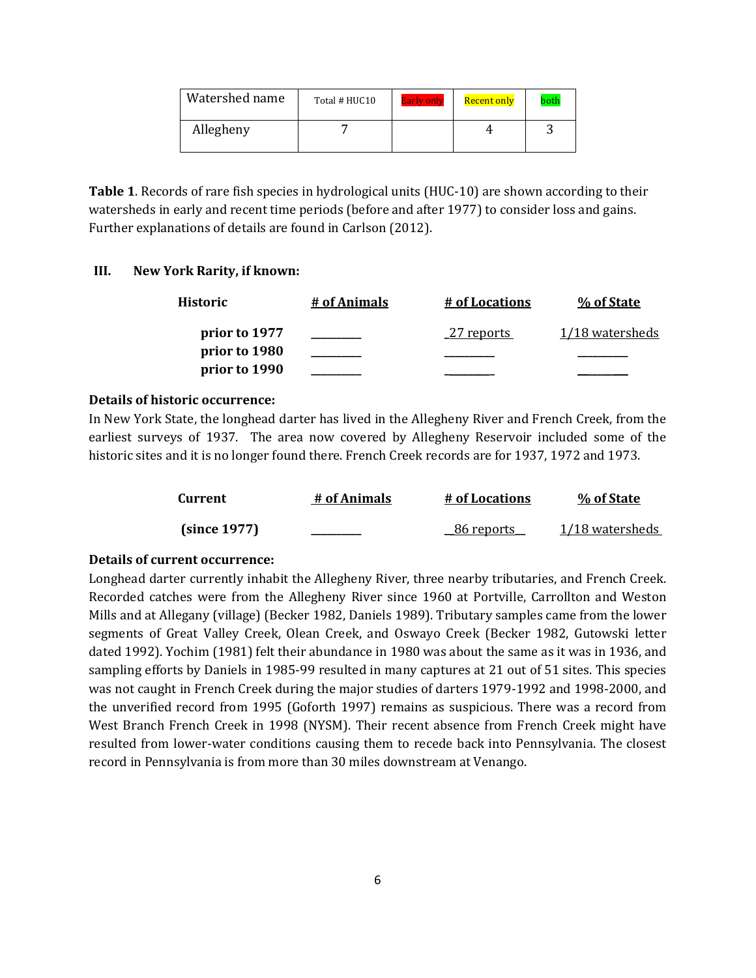| Watershed name | Total # HUC10 | <b>Early only</b> | Recent only | both |
|----------------|---------------|-------------------|-------------|------|
| Allegheny      |               |                   |             |      |

**Table 1**. Records of rare fish species in hydrological units (HUC-10) are shown according to their watersheds in early and recent time periods (before and after 1977) to consider loss and gains. Further explanations of details are found in Carlson (2012).

## **III. New York Rarity, if known:**

| Historic      | # of Animals | <u># of Locations</u> | % of State      |
|---------------|--------------|-----------------------|-----------------|
| prior to 1977 |              | _27 reports           | 1/18 watersheds |
| prior to 1980 |              |                       |                 |
| prior to 1990 |              |                       |                 |

## **Details of historic occurrence:**

In New York State, the longhead darter has lived in the Allegheny River and French Creek, from the earliest surveys of 1937. The area now covered by Allegheny Reservoir included some of the historic sites and it is no longer found there. French Creek records are for 1937, 1972 and 1973.

| Current      | # of Animals | # of Locations    | % of State      |
|--------------|--------------|-------------------|-----------------|
| (since 1977) |              | <u>86 reports</u> | 1/18 watersheds |

#### **Details of current occurrence:**

Longhead darter currently inhabit the Allegheny River, three nearby tributaries, and French Creek. Recorded catches were from the Allegheny River since 1960 at Portville, Carrollton and Weston Mills and at Allegany (village) (Becker 1982, Daniels 1989). Tributary samples came from the lower segments of Great Valley Creek, Olean Creek, and Oswayo Creek (Becker 1982, Gutowski letter dated 1992). Yochim (1981) felt their abundance in 1980 was about the same as it was in 1936, and sampling efforts by Daniels in 1985-99 resulted in many captures at 21 out of 51 sites. This species was not caught in French Creek during the major studies of darters 1979-1992 and 1998-2000, and the unverified record from 1995 (Goforth 1997) remains as suspicious. There was a record from West Branch French Creek in 1998 (NYSM). Their recent absence from French Creek might have resulted from lower-water conditions causing them to recede back into Pennsylvania. The closest record in Pennsylvania is from more than 30 miles downstream at Venango.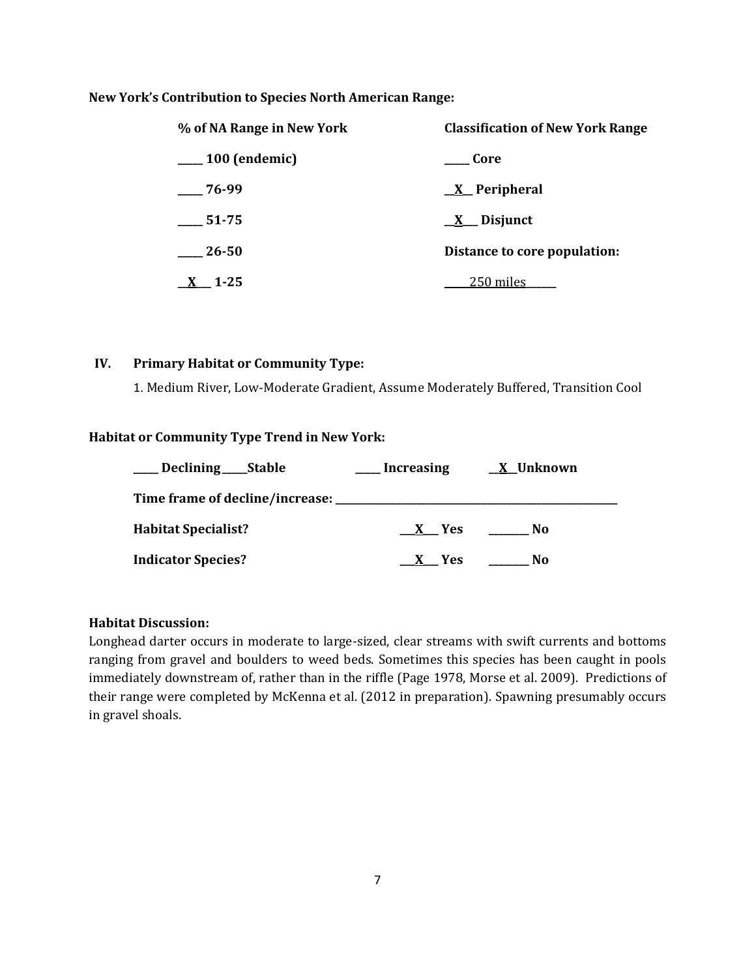### **New York's Contribution to Species North American Range:**

| % of NA Range in New York | <b>Classification of New York Range</b> |
|---------------------------|-----------------------------------------|
| 100 (endemic)             | Core                                    |
| $-76-99$                  | $\underline{X}$ Peripheral              |
| 51-75                     | $\underline{X}$ Disjunct                |
| 26-50                     | Distance to core population:            |
| 1-25                      | 250 miles                               |

#### **IV. Primary Habitat or Community Type:**

1. Medium River, Low-Moderate Gradient, Assume Moderately Buffered, Transition Cool

### **Habitat or Community Type Trend in New York:**

| Declining _____Stable                     | <b>Increasing</b> | <u>X</u> Unknown |
|-------------------------------------------|-------------------|------------------|
| Time frame of decline/increase: _________ |                   |                  |
| <b>Habitat Specialist?</b>                | X Yes             | No.              |
| <b>Indicator Species?</b>                 | X Yes             | No               |

#### **Habitat Discussion:**

Longhead darter occurs in moderate to large-sized, clear streams with swift currents and bottoms ranging from gravel and boulders to weed beds. Sometimes this species has been caught in pools immediately downstream of, rather than in the riffle (Page 1978, Morse et al. 2009). Predictions of their range were completed by McKenna et al. (2012 in preparation). Spawning presumably occurs in gravel shoals.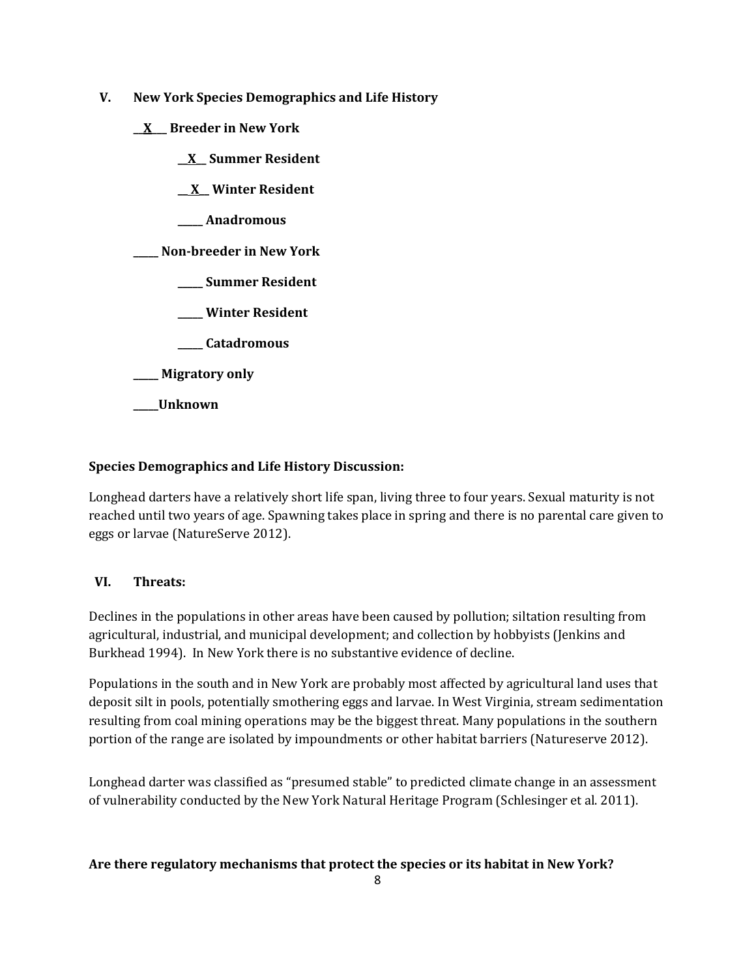- **V. New York Species Demographics and Life History**
	- **\_\_X\_\_\_ Breeder in New York**
		- **\_\_X\_\_ Summer Resident**

**\_\_ X\_\_ Winter Resident**

**\_\_\_\_\_ Anadromous**

**\_\_\_\_\_ Non-breeder in New York**

- **\_\_\_\_\_ Summer Resident**
- **\_\_\_\_\_ Winter Resident**
- **\_\_\_\_\_ Catadromous**
- **\_\_\_\_\_ Migratory only**
- **\_\_\_\_\_Unknown**

## **Species Demographics and Life History Discussion:**

Longhead darters have a relatively short life span, living three to four years. Sexual maturity is not reached until two years of age. Spawning takes place in spring and there is no parental care given to eggs or larvae (NatureServe 2012).

## **VI. Threats:**

Declines in the populations in other areas have been caused by pollution; siltation resulting from agricultural, industrial, and municipal development; and collection by hobbyists (Jenkins and Burkhead 1994). In New York there is no substantive evidence of decline.

Populations in the south and in New York are probably most affected by agricultural land uses that deposit silt in pools, potentially smothering eggs and larvae. In West Virginia, stream sedimentation resulting from coal mining operations may be the biggest threat. Many populations in the southern portion of the range are isolated by impoundments or other habitat barriers (Natureserve 2012).

Longhead darter was classified as "presumed stable" to predicted climate change in an assessment of vulnerability conducted by the New York Natural Heritage Program (Schlesinger et al. 2011).

## **Are there regulatory mechanisms that protect the species or its habitat in New York?**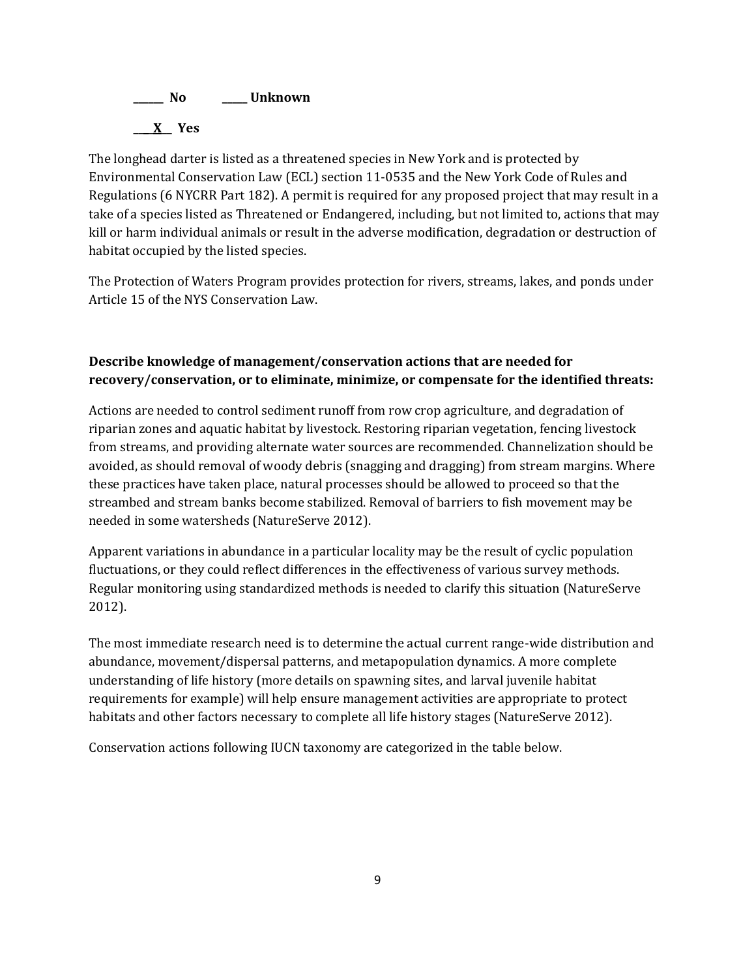

The longhead darter is listed as a threatened species in New York and is protected by Environmental Conservation Law (ECL) section 11-0535 and the New York Code of Rules and Regulations (6 NYCRR Part 182). A permit is required for any proposed project that may result in a take of a species listed as Threatened or Endangered, including, but not limited to, actions that may kill or harm individual animals or result in the adverse modification, degradation or destruction of habitat occupied by the listed species.

The Protection of Waters Program provides protection for rivers, streams, lakes, and ponds under Article 15 of the NYS Conservation Law.

# **Describe knowledge of management/conservation actions that are needed for recovery/conservation, or to eliminate, minimize, or compensate for the identified threats:**

Actions are needed to control sediment runoff from row crop agriculture, and degradation of riparian zones and aquatic habitat by livestock. Restoring riparian vegetation, fencing livestock from streams, and providing alternate water sources are recommended. Channelization should be avoided, as should removal of woody debris (snagging and dragging) from stream margins. Where these practices have taken place, natural processes should be allowed to proceed so that the streambed and stream banks become stabilized. Removal of barriers to fish movement may be needed in some watersheds (NatureServe 2012).

Apparent variations in abundance in a particular locality may be the result of cyclic population fluctuations, or they could reflect differences in the effectiveness of various survey methods. Regular monitoring using standardized methods is needed to clarify this situation (NatureServe 2012).

The most immediate research need is to determine the actual current range-wide distribution and abundance, movement/dispersal patterns, and metapopulation dynamics. A more complete understanding of life history (more details on spawning sites, and larval juvenile habitat requirements for example) will help ensure management activities are appropriate to protect habitats and other factors necessary to complete all life history stages (NatureServe 2012).

Conservation actions following IUCN taxonomy are categorized in the table below.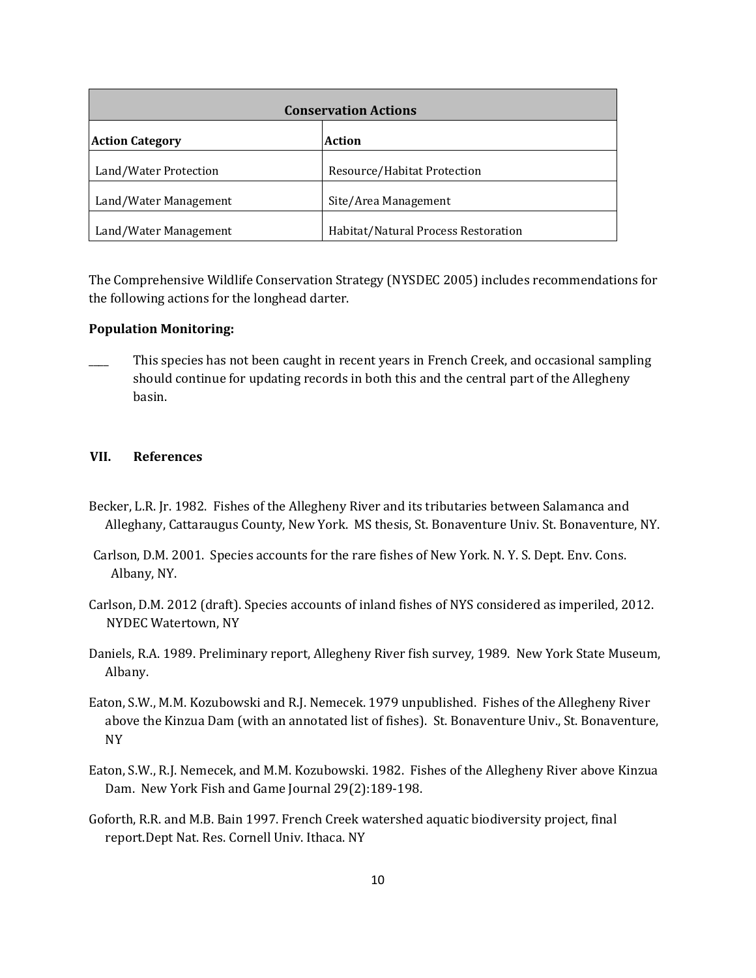| <b>Conservation Actions</b> |                                     |  |
|-----------------------------|-------------------------------------|--|
| <b>Action Category</b>      | Action                              |  |
| Land/Water Protection       | Resource/Habitat Protection         |  |
| Land/Water Management       | Site/Area Management                |  |
| Land/Water Management       | Habitat/Natural Process Restoration |  |

The Comprehensive Wildlife Conservation Strategy (NYSDEC 2005) includes recommendations for the following actions for the longhead darter.

#### **Population Monitoring:**

This species has not been caught in recent years in French Creek, and occasional sampling should continue for updating records in both this and the central part of the Allegheny basin.

#### **VII. References**

- Becker, L.R. Jr. 1982. Fishes of the Allegheny River and its tributaries between Salamanca and Alleghany, Cattaraugus County, New York. MS thesis, St. Bonaventure Univ. St. Bonaventure, NY.
- Carlson, D.M. 2001. Species accounts for the rare fishes of New York. N. Y. S. Dept. Env. Cons. Albany, NY.
- Carlson, D.M. 2012 (draft). Species accounts of inland fishes of NYS considered as imperiled, 2012. NYDEC Watertown, NY
- Daniels, R.A. 1989. Preliminary report, Allegheny River fish survey, 1989. New York State Museum, Albany.
- Eaton, S.W., M.M. Kozubowski and R.J. Nemecek. 1979 unpublished. Fishes of the Allegheny River above the Kinzua Dam (with an annotated list of fishes). St. Bonaventure Univ., St. Bonaventure, NY
- Eaton, S.W., R.J. Nemecek, and M.M. Kozubowski. 1982. Fishes of the Allegheny River above Kinzua Dam. New York Fish and Game Journal 29(2):189-198.
- Goforth, R.R. and M.B. Bain 1997. French Creek watershed aquatic biodiversity project, final report.Dept Nat. Res. Cornell Univ. Ithaca. NY